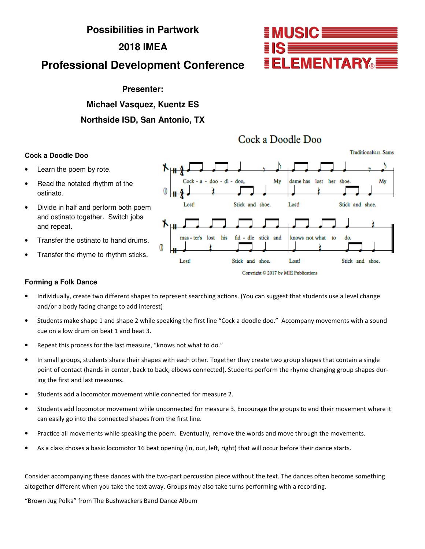## **Possibilities in Partwork**

## **2018 IMEA**

# **Professional Development Conference**

## **Presenter:**

## **Michael Vasquez, Kuentz ES**

## **Northside ISD, San Antonio, TX**

# Cock a Doodle Doo

## **Cock a Doodle Doo**

- Learn the poem by rote.
- Read the notated rhythm of the ostinato.
- Divide in half and perform both poem and ostinato together. Switch jobs and repeat.
- Transfer the ostinato to hand drums.
- Transfer the rhyme to rhythm sticks.

### **Forming a Folk Dance**

- Individually, create two different shapes to represent searching actions. (You can suggest that students use a level change and/or a body facing change to add interest)
- Students make shape 1 and shape 2 while speaking the first line "Cock a doodle doo." Accompany movements with a sound cue on a low drum on beat 1 and beat 3.
- Repeat this process for the last measure, "knows not what to do."
- In small groups, students share their shapes with each other. Together they create two group shapes that contain a single point of contact (hands in center, back to back, elbows connected). Students perform the rhyme changing group shapes during the first and last measures.
- Students add a locomotor movement while connected for measure 2.
- Students add locomotor movement while unconnected for measure 3. Encourage the groups to end their movement where it can easily go into the connected shapes from the first line.
- Practice all movements while speaking the poem. Eventually, remove the words and move through the movements.
- As a class choses a basic locomotor 16 beat opening (in, out, left, right) that will occur before their dance starts.

Consider accompanying these dances with the two-part percussion piece without the text. The dances often become something altogether different when you take the text away. Groups may also take turns performing with a recording.

"Brown Jug Polka" from The Bushwackers Band Dance Album



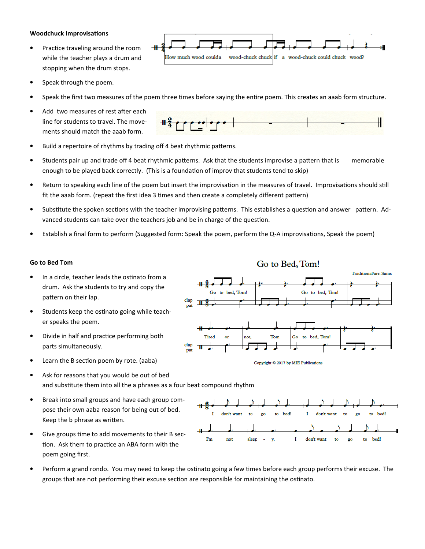#### Woodchuck Improvisations

- Practice traveling around the room while the teacher plays a drum and stopping when the drum stops.
- Speak through the poem.
- Speak the first two measures of the poem three times before saying the entire poem. This creates an aaab form structure.

How much wood coulda

Add two measures of rest after each line for students to travel. The movements should match the aaab form.



wood-chuck chuck if a wood-chuck could chuck wood?

• Build a repertoire of rhythms by trading off 4 beat rhythmic patterns.

 $+$ 

- Students pair up and trade off 4 beat rhythmic patterns. Ask that the students improvise a pattern that is memorable enough to be played back correctly. (This is a foundation of improv that students tend to skip)
- Return to speaking each line of the poem but insert the improvisation in the measures of travel. Improvisations should still fit the aaab form. (repeat the first idea 3 times and then create a completely different pattern)
- Substitute the spoken sections with the teacher improvising patterns. This establishes a question and answer pattern. Advanced students can take over the teachers job and be in charge of the question.
- Establish a final form to perform (Suggested form: Speak the poem, perform the Q-A improvisations, Speak the poem)

### Go to Bed Tom

- $\bullet$  In a circle, teacher leads the ostinato from a drum. Ask the students to try and copy the pattern on their lap.
- Students keep the ostinato going while teacher speaks the poem.
- Divide in half and practice performing both parts simultaneously.
- $\bullet$  Learn the B section poem by rote. (aaba)
- Ask for reasons that you would be out of bed and substitute them into all the a phrases as a four beat compound rhythm
- Break into small groups and have each group compose their own aaba reason for being out of bed. Keep the b phrase as written.
- Give groups time to add movements to their B section. Ask them to practice an ABA form with the poem going first.
- Perform a grand rondo. You may need to keep the ostinato going a few times before each group performs their excuse. The groups that are not performing their excuse section are responsible for maintaining the ostinato.







# Go to Bed, Tom!